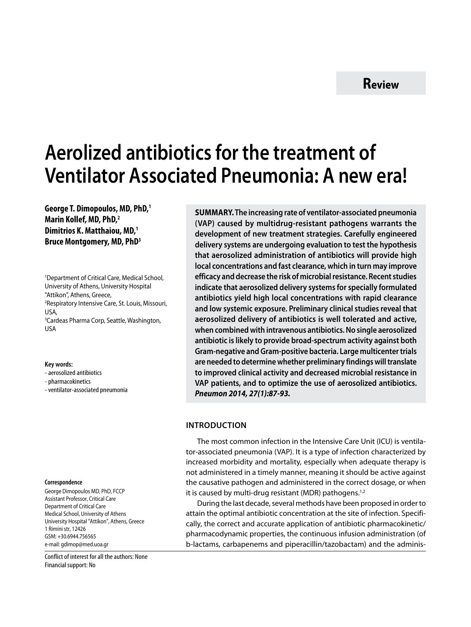# **Aerolized antibiotics for the treatment of Ventilator Associated Pneumonia: A new era!**

**George T. Dimopoulos, MD, PhD,1 Marin Kollef, MD, PhD,2 Dimitrios K. Matthaiou, MD,1 Βruce Montgomery, MD, PhD3**

1 Department of Critical Care, Medical School, University of Athens, University Hospital "Attikon", Athens, Greece, 2 Respiratory Intensive Care, St. Louis, Missouri, USA, 3 Cardeas Pharma Corp, Seattle, Washington, USA

#### **Key words:**

- aerosolized antibiotics
- pharmacokinetics
- ventilator-associated pneumonia

#### **Correspondence**

George Dimopoulos MD, PhD, FCCP Assistant Professor, Critical Care Department of Critical Care Medical School, University of Athens University Hospital "Attikon", Athens, Greece 1 Rimini str, 12426 GSM: +30.6944.756565 e-mail: gdimop@med.uoa.gr

Conflict of interest for all the authors: None Financial support: No

**SUMMARY.The increasing rate of ventilator-associated pneumonia (VAP) caused by multidrug-resistant pathogens warrants the development of new treatment strategies. Carefully engineered delivery systems are undergoing evaluation to test the hypothesis that aerosolized administration of antibiotics will provide high local concentrations and fast clearance, which in turn may improve efficacy and decrease the risk of microbial resistance. Recent studies indicate that aerosolized delivery systems for specially formulated antibiotics yield high local concentrations with rapid clearance and low systemic exposure. Preliminary clinical studies reveal that aerosolized delivery of antibiotics is well tolerated and active, when combined with intravenous antibiotics. No single aerosolized antibiotic is likely to provide broad-spectrum activity against both Gram-negative and Gram-positive bacteria. Large multicenter trials are needed to determine whether preliminary findings will translate to improved clinical activity and decreased microbial resistance in VAP patients, and to optimize the use of aerosolized antibiotics.** *Pneumon 2014, 27(1):87-93.*

## **Introduction**

The most common infection in the Intensive Care Unit (ICU) is ventilator-associated pneumonia (VAP). It is a type of infection characterized by increased morbidity and mortality, especially when adequate therapy is not administered in a timely manner, meaning it should be active against the causative pathogen and administered in the correct dosage, or when it is caused by multi-drug resistant (MDR) pathogens.<sup>1,2</sup>

During the last decade, several methods have been proposed in order to attain the optimal antibiotic concentration at the site of infection. Specifically, the correct and accurate application of antibiotic pharmacokinetic/ pharmacodynamic properties, the continuous infusion administration (of b-lactams, carbapenems and piperacillin/tazobactam) and the adminis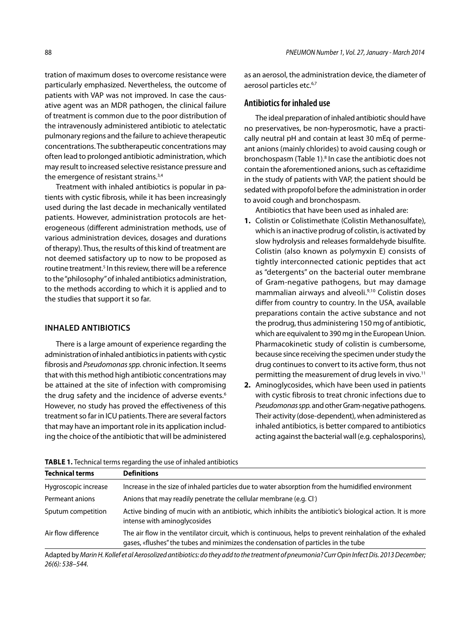tration of maximum doses to overcome resistance were particularly emphasized. Nevertheless, the outcome of patients with VAP was not improved. In case the causative agent was an MDR pathogen, the clinical failure of treatment is common due to the poor distribution of the intravenously administered antibiotic to atelectatic pulmonary regions and the failure to achieve therapeutic concentrations. The subtherapeutic concentrations may often lead to prolonged antibiotic administration, which may result to increased selective resistance pressure and the emergence of resistant strains.<sup>3,4</sup>

Treatment with inhaled antibiotics is popular in patients with cystic fibrosis, while it has been increasingly used during the last decade in mechanically ventilated patients. However, administration protocols are heterogeneous (different administration methods, use of various administration devices, dosages and durations of therapy). Thus, the results of this kind of treatment are not deemed satisfactory up to now to be proposed as routine treatment.<sup>5</sup> In this review, there will be a reference to the "philosophy" of inhaled antibiotics administration, to the methods according to which it is applied and to the studies that support it so far.

## **Inhaled antibiotics**

There is a large amount of experience regarding the administration of inhaled antibiotics in patients with cystic fibrosis and *Pseudomonas spp.* chronic infection. It seems that with this method high antibiotic concentrations may be attained at the site of infection with compromising the drug safety and the incidence of adverse events.<sup>6</sup> However, no study has proved the effectiveness of this treatment so far in ICU patients. There are several factors that may have an important role in its application including the choice of the antibiotic that will be administered as an aerosol, the administration device, the diameter of aerosol particles etc.<sup>6,7</sup>

## **Antibiotics for inhaled use**

The ideal preparation of inhaled antibiotic should have no preservatives, be non-hyperosmotic, have a practically neutral pH and contain at least 30 mEq of permeant anions (mainly chlorides) to avoid causing cough or bronchospasm (Table 1).<sup>8</sup> In case the antibiotic does not contain the aforementioned anions, such as ceftazidime in the study of patients with VAP, the patient should be sedated with propofol before the administration in order to avoid cough and bronchospasm.

Antibiotics that have been used as inhaled are:

- **1.** Colistin or Colistimethate (Colistin Methanosulfate), which is an inactive prodrug of colistin, is activated by slow hydrolysis and releases formaldehyde bisulfite. Colistin (also known as polymyxin E) consists of tightly interconnected cationic peptides that act as "detergents" on the bacterial outer membrane of Gram-negative pathogens, but may damage mammalian airways and alveoli.<sup>9,10</sup> Colistin doses differ from country to country. In the USA, available preparations contain the active substance and not the prodrug, thus administering 150 mg of antibiotic, which are equivalent to 390 mg in the European Union. Pharmacokinetic study of colistin is cumbersome, because since receiving the specimen under study the drug continues to convert to its active form, thus not permitting the measurement of drug levels in vivo.<sup>11</sup>
- **2.** Aminoglycosides, which have been used in patients with cystic fibrosis to treat chronic infections due to *Pseudomonas spp.* and other Gram-negative pathogens. Their activity (dose-dependent), when administered as inhaled antibiotics, is better compared to antibiotics acting against the bacterial wall (e.g. cephalosporins),

| <b>Technical terms</b> | <b>Definitions</b>                                                                                                                                                                              |
|------------------------|-------------------------------------------------------------------------------------------------------------------------------------------------------------------------------------------------|
| Hygroscopic increase   | Increase in the size of inhaled particles due to water absorption from the humidified environment                                                                                               |
| Permeant anions        | Anions that may readily penetrate the cellular membrane (e.g. CI)                                                                                                                               |
| Sputum competition     | Active binding of mucin with an antibiotic, which inhibits the antibiotic's biological action. It is more<br>intense with aminoglycosides                                                       |
| Air flow difference    | The air flow in the ventilator circuit, which is continuous, helps to prevent reinhalation of the exhaled<br>gases, «flushes" the tubes and minimizes the condensation of particles in the tube |

**Table 1.** Technical terms regarding the use of inhaled antibiotics

Adapted by *Marin H. Kollef et al Αerosolized antibiotics: do they add to the treatment of pneumonia? Curr Opin Infect Dis. 2013 December; 26(6): 538–544.*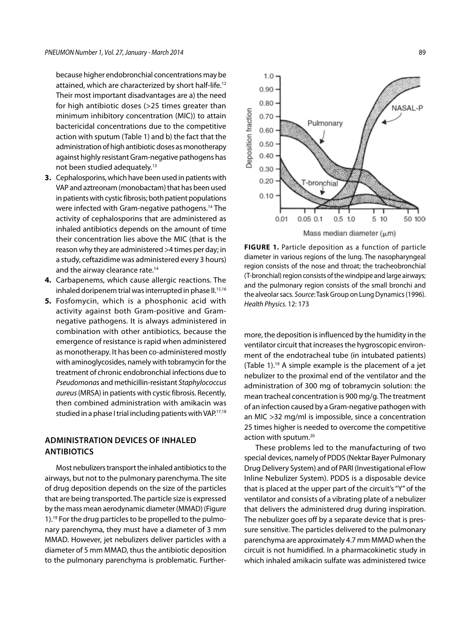because higher endobronchial concentrations may be attained, which are characterized by short half-life.12 Their most important disadvantages are a) the need for high antibiotic doses (>25 times greater than minimum inhibitory concentration (MIC)) to attain bactericidal concentrations due to the competitive action with sputum (Table 1) and b) the fact that the administration of high antibiotic doses as monotherapy against highly resistant Gram-negative pathogens has not been studied adequately.13

- **3.** Cephalosporins, which have been used in patients with VAP and aztreonam (monobactam) that has been used in patients with cystic fibrosis; both patient populations were infected with Gram-negative pathogens.14 The activity of cephalosporins that are administered as inhaled antibiotics depends on the amount of time their concentration lies above the MIC (that is the reason why they are administered >4 times per day; in a study, ceftazidime was administered every 3 hours) and the airway clearance rate.<sup>14</sup>
- **4.** Carbapenems, which cause allergic reactions. The inhaled doripenem trial was interrupted in phase II.<sup>15,16</sup>
- **5.** Fosfomycin, which is a phosphonic acid with activity against both Gram-positive and Gramnegative pathogens. It is always administered in combination with other antibiotics, because the emergence of resistance is rapid when administered as monotherapy. It has been co-administered mostly with aminoglycosides, namely with tobramycin for the treatment of chronic endobronchial infections due to *Pseudomonas* and methicillin-resistant *Staphylococcus aureus* (MRSA) in patients with cystic fibrosis. Recently, then combined administration with amikacin was studied in a phase I trial including patients with VAP.<sup>17,18</sup>

## **Administration devices of inhaled antibiotics**

Most nebulizers transport the inhaled antibiotics to the airways, but not to the pulmonary parenchyma. The site of drug deposition depends on the size of the particles that are being transported. The particle size is expressed by the mass mean aerodynamic diameter (MMAD) (Figure 1).19 For the drug particles to be propelled to the pulmonary parenchyma, they must have a diameter of 3 mm MMAD. However, jet nebulizers deliver particles with a diameter of 5 mm MMAD, thus the antibiotic deposition to the pulmonary parenchyma is problematic. Further-



FIGURE 1. Particle deposition as a function of particle diameter in various regions of the lung. The nasopharyngeal region consists of the nose and throat; the tracheobronchial (T-bronchial) region consists of the windpipe and large airways; and the pulmonary region consists of the small bronchi and the alveolar sacs. *Source*: Task Group on Lung Dynamics (1996). *Health Physics.* 12: 173

more, the deposition is influenced by the humidity in the ventilator circuit that increases the hygroscopic environment of the endotracheal tube (in intubated patients) (Table 1).<sup>19</sup> A simple example is the placement of a jet nebulizer to the proximal end of the ventilator and the administration of 300 mg of tobramycin solution: the mean tracheal concentration is 900 mg/g. The treatment of an infection caused by a Gram-negative pathogen with an MIC >32 mg/ml is impossible, since a concentration 25 times higher is needed to overcome the competitive action with sputum.<sup>20</sup>

These problems led to the manufacturing of two special devices, namely of PDDS (Nektar Bayer Pulmonary Drug Delivery System) and of PARI (Investigational eFlow Inline Nebulizer System). PDDS is a disposable device that is placed at the upper part of the circuit's "Y" of the ventilator and consists of a vibrating plate of a nebulizer that delivers the administered drug during inspiration. The nebulizer goes off by a separate device that is pressure sensitive. The particles delivered to the pulmonary parenchyma are approximately 4.7 mm MMAD when the circuit is not humidified. In a pharmacokinetic study in which inhaled amikacin sulfate was administered twice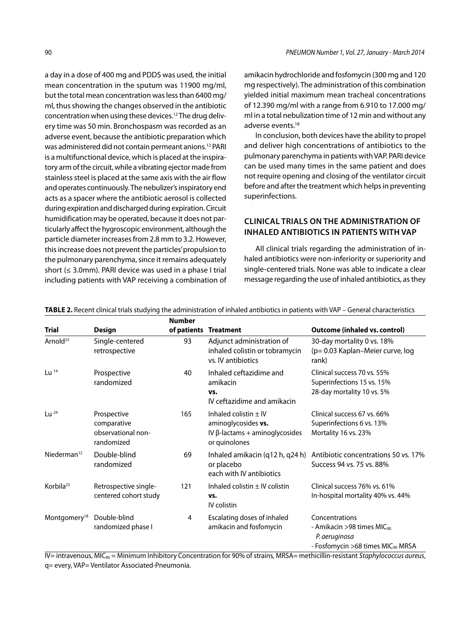a day in a dose of 400 mg and PDDS was used, the initial mean concentration in the sputum was 11900 mg/ml, but the total mean concentration was less than 6400 mg/ ml, thus showing the changes observed in the antibiotic concentration when using these devices.12 The drug delivery time was 50 min. Bronchospasm was recorded as an adverse event, because the antibiotic preparation which was administered did not contain permeant anions.12 PARI is a multifunctional device, which is placed at the inspiratory arm of the circuit, while a vibrating ejector made from stainless steel is placed at the same axis with the air flow and operates continuously. The nebulizer's inspiratory end acts as a spacer where the antibiotic aerosol is collected during expiration and discharged during expiration. Circuit humidification may be operated, because it does not particularly affect the hygroscopic environment, although the particle diameter increases from 2.8 mm to 3.2. However, this increase does not prevent the particles' propulsion to the pulmonary parenchyma, since it remains adequately short (≤ 3.0mm). PARI device was used in a phase I trial including patients with VAP receiving a combination of

amikacin hydrochloride and fosfomycin (300 mg and 120 mg respectively). The administration of this combination yielded initial maximum mean tracheal concentrations of 12.390 mg/ml with a range from 6.910 to 17.000 mg/ ml in a total nebulization time of 12 min and without any adverse events.18

In conclusion, both devices have the ability to propel and deliver high concentrations of antibiotics to the pulmonary parenchyma in patients with VAP. PARI device can be used many times in the same patient and does not require opening and closing of the ventilator circuit before and after the treatment which helps in preventing superinfections.

# **Clinical trials on the administration of inhaled antibiotics in patients with VAP**

All clinical trials regarding the administration of inhaled antibiotics were non-inferiority or superiority and single-centered trials. None was able to indicate a clear message regarding the use of inhaled antibiotics, as they

|                          |                                                                | <b>Number</b> |                                                                                                            |                                                                                                                             |
|--------------------------|----------------------------------------------------------------|---------------|------------------------------------------------------------------------------------------------------------|-----------------------------------------------------------------------------------------------------------------------------|
| <b>Trial</b>             | <b>Design</b>                                                  | of patients   | <b>Treatment</b>                                                                                           | <b>Outcome (inhaled vs. control)</b>                                                                                        |
| Arnold <sup>23</sup>     | Single-centered<br>retrospective                               | 93            | Adjunct administration of<br>inhaled colistin or tobramycin<br>vs. IV antibiotics                          | 30-day mortality 0 vs. 18%<br>(p= 0.03 Kaplan-Meier curve, log<br>rank)                                                     |
| Lu $14$                  | Prospective<br>randomized                                      | 40            | Inhaled ceftazidime and<br>amikacin<br>VS.<br>IV ceftazidime and amikacin                                  | Clinical success 70 vs. 55%<br>Superinfections 15 vs. 15%<br>28-day mortality 10 vs. 5%                                     |
| Lu $^{24}$               | Prospective<br>comparative<br>observational non-<br>randomized | 165           | Inhaled colistin $\pm$ IV<br>aminoglycosides vs.<br>IV $\beta$ -lactams + aminoglycosides<br>or quinolones | Clinical success 67 vs. 66%<br>Superinfections 6 vs. 13%<br>Mortality 16 vs. 23%                                            |
| Niederman <sup>12</sup>  | Double-blind<br>randomized                                     | 69            | Inhaled amikacin (q12 h, q24 h)<br>or placebo<br>each with IV antibiotics                                  | Antibiotic concentrations 50 vs. 17%<br>Success 94 vs. 75 vs. 88%                                                           |
| Korbila <sup>25</sup>    | Retrospective single-<br>centered cohort study                 | 121           | Inhaled colistin $\pm$ IV colistin<br>VS.<br>IV colistin                                                   | Clinical success 76% vs. 61%<br>In-hospital mortality 40% vs. 44%                                                           |
| Montgomery <sup>18</sup> | Double-blind<br>randomized phase I                             | 4             | Escalating doses of inhaled<br>amikacin and fosfomycin                                                     | Concentrations<br>- Amikacin >98 times MIC <sub>90</sub><br>P. aeruginosa<br>- Fosfomycin > 68 times MIC <sub>90</sub> MRSA |

**Table 2.** Recent clinical trials studying the administration of inhaled antibiotics in patients with VAP – General characteristics

IV= intravenous, MIC90 = Minimum Inhibitory Concentration for 90% of strains, MRSA= methicillin-resistant *Staphylococcus aureus*, q= every, VAP= Ventilator Associated-Pneumonia.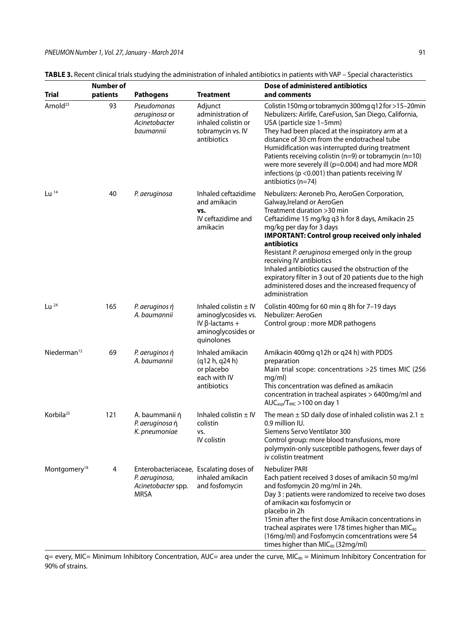|                          | Number of |                                                                                                |                                                                                                               | Dose of administered antibiotics                                                                                                                                                                                                                                                                                                                                                                                                                                                                                                             |  |
|--------------------------|-----------|------------------------------------------------------------------------------------------------|---------------------------------------------------------------------------------------------------------------|----------------------------------------------------------------------------------------------------------------------------------------------------------------------------------------------------------------------------------------------------------------------------------------------------------------------------------------------------------------------------------------------------------------------------------------------------------------------------------------------------------------------------------------------|--|
| <b>Trial</b>             | patients  | <b>Pathogens</b>                                                                               | <b>Treatment</b>                                                                                              | and comments                                                                                                                                                                                                                                                                                                                                                                                                                                                                                                                                 |  |
| Arnold <sup>23</sup>     | 93        | Pseudomonas<br>aeruginosa or<br>Acinetobacter<br>baumannii                                     | Adjunct<br>administration of<br>inhaled colistin or<br>tobramycin vs. IV<br>antibiotics                       | Colistin 150mg or tobramycin 300mg q12 for >15-20min<br>Nebulizers: Airlife, CareFusion, San Diego, California,<br>USA (particle size 1-5mm)<br>They had been placed at the inspiratory arm at a<br>distance of 30 cm from the endotracheal tube<br>Humidification was interrupted during treatment<br>Patients receiving colistin (n=9) or tobramycin (n=10)<br>were more severely ill (p=0.004) and had more MDR<br>infections (p < 0.001) than patients receiving IV<br>antibiotics $(n=74)$                                              |  |
| $Lu$ <sup>14</sup>       | 40        | P. aeruginosa                                                                                  | Inhaled ceftazidime<br>and amikacin<br>VS.<br>IV ceftazidime and<br>amikacin                                  | Nebulizers: Aeroneb Pro, AeroGen Corporation,<br>Galway, Ireland or AeroGen<br>Treatment duration >30 min<br>Ceftazidime 15 mg/kg q3 h for 8 days, Amikacin 25<br>mg/kg per day for 3 days<br><b>IMPORTANT: Control group received only inhaled</b><br>antibiotics<br>Resistant P. aeruginosa emerged only in the group<br>receiving IV antibiotics<br>Inhaled antibiotics caused the obstruction of the<br>expiratory filter in 3 out of 20 patients due to the high<br>administered doses and the increased frequency of<br>administration |  |
| $Lu^{24}$                | 165       | P. aeruginos ή<br>A. baumannii                                                                 | Inhaled colistin $\pm$ IV<br>aminoglycosides vs.<br>IV $\beta$ -lactams +<br>aminoglycosides or<br>quinolones | Colistin 400mg for 60 min q 8h for 7-19 days<br>Nebulizer: AeroGen<br>Control group: more MDR pathogens                                                                                                                                                                                                                                                                                                                                                                                                                                      |  |
| Niederman <sup>12</sup>  | 69        | P. aeruginos ή<br>A. baumannii                                                                 | Inhaled amikacin<br>(q12 h, q24 h)<br>or placebo<br>each with IV<br>antibiotics                               | Amikacin 400mg q12h or q24 h) with PDDS<br>preparation<br>Main trial scope: concentrations >25 times MIC (256<br>mg/ml)<br>This concentration was defined as amikacin<br>concentration in tracheal aspirates > 6400mg/ml and<br>$AUCasp/TMIC > 100$ on day 1                                                                                                                                                                                                                                                                                 |  |
| Korbila <sup>25</sup>    | 121       | A. baummanii ή<br>P. aeruginosa ή<br>K. pneumoniae                                             | Inhaled colistin $\pm$ IV<br>colistin<br>VS.<br>IV colistin                                                   | The mean $\pm$ SD daily dose of inhaled colistin was 2.1 $\pm$<br>0.9 million IU.<br>Siemens Servo Ventilator 300<br>Control group: more blood transfusions, more<br>polymyxin-only susceptible pathogens, fewer days of<br>iv colistin treatment                                                                                                                                                                                                                                                                                            |  |
| Montgomery <sup>18</sup> | 4         | Enterobacteriaceae, Escalating doses of<br>P. aeruginosa,<br>Acinetobacter spp.<br><b>MRSA</b> | inhaled amikacin<br>and fosfomycin                                                                            | Nebulizer PARI<br>Each patient received 3 doses of amikacin 50 mg/ml<br>and fosfomycin 20 mg/ml in 24h.<br>Day 3 : patients were randomized to receive two doses<br>of amikacin kai fosfomycin or<br>placebo in 2h<br>15 min after the first dose Amikacin concentrations in<br>tracheal aspirates were 178 times higher than MIC <sub>90</sub><br>(16mg/ml) and Fosfomycin comcentrations were 54<br>times higher than MIC <sub>90</sub> (32mg/ml)                                                                                          |  |

**Table 3.** Recent clinical trials studying the administration of inhaled antibiotics in patients with VAP – Special characteristics

q= every, MIC= Minimum Inhibitory Concentration, AUC= area under the curve, MIC<sub>90</sub> = Minimum Inhibitory Concentration for 90% of strains.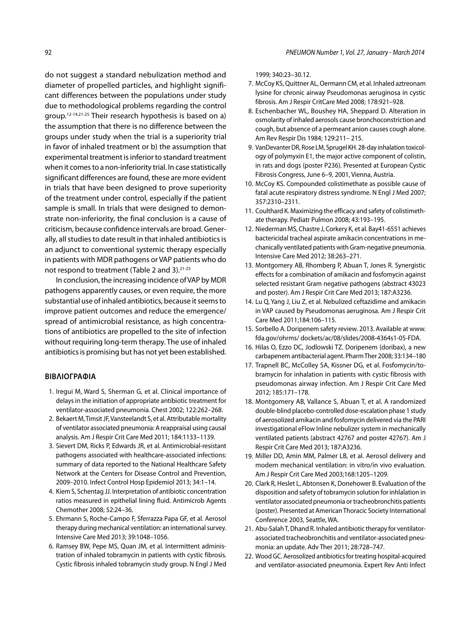do not suggest a standard nebulization method and diameter of propelled particles, and highlight significant differences between the populations under study due to methodological problems regarding the control group.12-14,21-25 Their research hypothesis is based on a) the assumption that there is no difference between the groups under study when the trial is a superiority trial in favor of inhaled treatment or b) the assumption that experimental treatment is inferior to standard treatment when it comes to a non-inferiority trial. In case statistically significant differences are found, these are more evident in trials that have been designed to prove superiority of the treatment under control, especially if the patient sample is small. In trials that were designed to demonstrate non-inferiority, the final conclusion is a cause of criticism, because confidence intervals are broad. Generally, all studies to date result in that inhaled antibiotics is an adjunct to conventional systemic therapy especially in patients with MDR pathogens or VAP patients who do not respond to treatment (Table 2 and 3).21-25

In conclusion, the increasing incidence of VAP by MDR pathogens apparently causes, or even require, the more substantial use of inhaled antibiotics, because it seems to improve patient outcomes and reduce the emergence/ spread of antimicrobial resistance, as high concentrations of antibiotics are propelled to the site of infection without requiring long-term therapy. The use of inhaled antibiotics is promising but has not yet been established.

#### **BIBΛΙΟΓΡΑΦΙΑ**

- 1. Iregui M, Ward S, Sherman G, et al. Clinical importance of delays in the initiation of appropriate antibiotic treatment for ventilator-associated pneumonia. Chest 2002; 122:262–268.
- 2. Bekaert M, Timsit JF, Vansteelandt S, et al. Attributable mortality of ventilator associated pneumonia: A reappraisal using causal analysis. Am J Respir Crit Care Med 2011; 184:1133–1139.
- 3. Sievert DM, Ricks P, Edwards JR, et al. Antimicrobial-resistant pathogens associated with healthcare-associated infections: summary of data reported to the National Healthcare Safety Network at the Centers for Disease Control and Prevention, 2009–2010. Infect Control Hosp Epidemiol 2013; 34:1–14.
- 4. Kiem S, Schentag JJ. Interpretation of antibiotic concentration ratios measured in epithelial lining fluid. Antimicrob Agents Chemother 2008; 52:24–36.
- 5. Ehrmann S, Roche-Campo F, Sferrazza Papa GF, et al. Aerosol therapy during mechanical ventilation: an international survey. Intensive Care Med 2013; 39:1048–1056.
- 6. Ramsey BW, Pepe MS, Quan JM, et al. Intermittent administration of inhaled tobramycin in patients with cystic fibrosis. Cystic fibrosis inhaled tobramycin study group. N Engl J Med

1999; 340:23–30.12.

- 7. McCoy KS, Quittner AL, Oermann CM, et al. Inhaled aztreonam lysine for chronic airway Pseudomonas aeruginosa in cystic fibrosis. Am J Respir CritCare Med 2008; 178:921–928.
- 8. Eschenbacher WL, Boushey HA, Sheppard D. Alteration in osmolarity of inhaled aerosols cause bronchoconstriction and cough, but absence of a permeant anion causes cough alone. Am Rev Respir Dis 1984; 129:211– 215.
- 9. VanDevanter DR, Rose LM, Sprugel KH. 28-day inhalation toxicology of polymyxin E1, the major active component of colistin, in rats and dogs (poster P236). Presented at European Cystic Fibrosis Congress, June 6–9, 2001, Vienna, Austria.
- 10. McCoy KS. Compounded colistimethate as possible cause of fatal acute respiratory distress syndrome. N Engl J Med 2007; 357:2310–2311.
- 11. Coulthard K. Maximizing the efficacy and safety of colistimethate therapy. Pediatr Pulmon 2008; 43:193–195.
- 12. Niederman MS, Chastre J, Corkery K, et al. Bay41-6551 achieves bactericidal tracheal aspirate amikacin concentrations in mechanically ventilated patients with Gram-negative pneumonia. Intensive Care Med 2012; 38:263–271.
- 13. Montgomery AB, Rhomberg P, Abuan T, Jones R. Synergistic effects for a combination of amikacin and fosfomycin against selected resistant Gram negative pathogens (abstract 43023 and poster). Am J Respir Crit Care Med 2013; 187:A3236.
- 14. Lu Q, Yang J, Liu Z, et al. Nebulized ceftazidime and amikacin in VAP caused by Pseudomonas aeruginosa. Am J Respir Crit Care Med 2011;184:106–115.
- 15. Sorbello A. Doripenem safety review. 2013. Available at www. fda.gov/ohrms/ dockets/ac/08/slides/2008-4364s1-05-FDA.
- 16. Hilas O, Ezzo DC, Jodlowski TZ. Doripenem (doribax), a new carbapenem antibacterial agent. Pharm Ther 2008; 33:134–180
- 17. Trapnell BC, McColley SA, Kissner DG, et al. Fosfomycin/tobramycin for inhalation in patients with cystic fibrosis with pseudomonas airway infection. Am J Respir Crit Care Med 2012; 185:171–178.
- 18. Montgomery AB, Vallance S, Abuan T, et al. A randomized double-blind placebo-controlled dose-escalation phase 1 study of aerosolized amikacin and fosfomycin delivered via the PARI investigational eFlow Inline nebulizer system in mechanically ventilated patients (abstract 42767 and poster 42767). Am J Respir Crit Care Med 2013; 187:A3236.
- 19. Miller DD, Amin MM, Palmer LB, et al. Aerosol delivery and modern mechanical ventilation: in vitro/in vivo evaluation. Am J Respir Crit Care Med 2003;168:1205–1209.
- 20. Clark R, Heslet L, Abtonsen K, Donehower B. Evaluation of the disposition and safety of tobramycin solution for inhlalation in ventilator associated pneumonia or tracheobronchitis patients (poster). Presented at American Thoracic Society International Conference 2003, Seattle, WA.
- 21. Abu-Salah T, Dhand R. Inhaled antibiotic therapy for ventilatorassociated tracheobronchitis and ventilator-associated pneumonia: an update. Adv Ther 2011; 28:728–747.
- 22. Wood GC. Aerosolized antibiotics for treating hospital-acquired and ventilator-associated pneumonia. Expert Rev Anti Infect